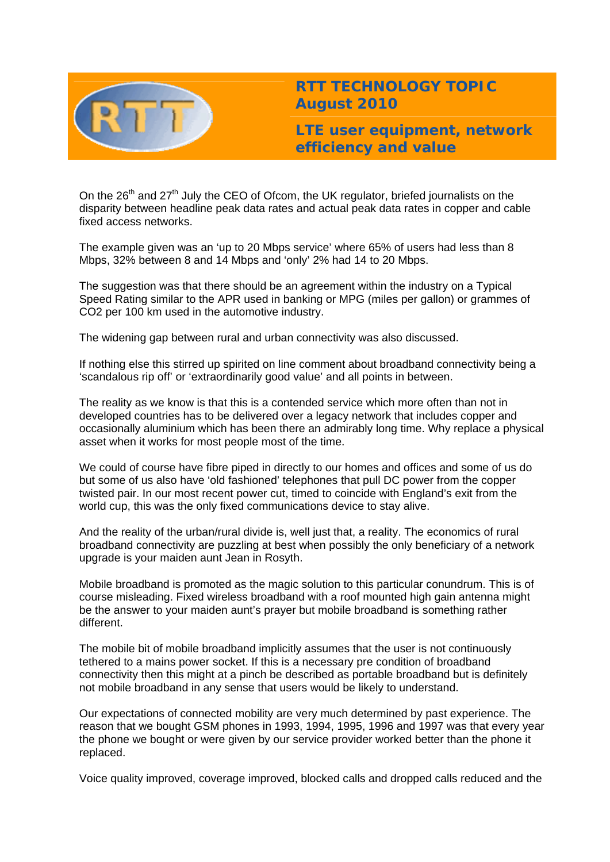

# **RTT TECHNOLOGY TOPIC August 2010**

**LTE user equipment, network efficiency and value** 

On the 26<sup>th</sup> and 27<sup>th</sup> July the CEO of Ofcom, the UK regulator, briefed journalists on the disparity between headline peak data rates and actual peak data rates in copper and cable fixed access networks.

The example given was an 'up to 20 Mbps service' where 65% of users had less than 8 Mbps, 32% between 8 and 14 Mbps and 'only' 2% had 14 to 20 Mbps.

The suggestion was that there should be an agreement within the industry on a Typical Speed Rating similar to the APR used in banking or MPG (miles per gallon) or grammes of CO2 per 100 km used in the automotive industry.

The widening gap between rural and urban connectivity was also discussed.

If nothing else this stirred up spirited on line comment about broadband connectivity being a 'scandalous rip off' or 'extraordinarily good value' and all points in between.

The reality as we know is that this is a contended service which more often than not in developed countries has to be delivered over a legacy network that includes copper and occasionally aluminium which has been there an admirably long time. Why replace a physical asset when it works for most people most of the time.

We could of course have fibre piped in directly to our homes and offices and some of us do but some of us also have 'old fashioned' telephones that pull DC power from the copper twisted pair. In our most recent power cut, timed to coincide with England's exit from the world cup, this was the only fixed communications device to stay alive.

And the reality of the urban/rural divide is, well just that, a reality. The economics of rural broadband connectivity are puzzling at best when possibly the only beneficiary of a network upgrade is your maiden aunt Jean in Rosyth.

Mobile broadband is promoted as the magic solution to this particular conundrum. This is of course misleading. Fixed wireless broadband with a roof mounted high gain antenna might be the answer to your maiden aunt's prayer but mobile broadband is something rather different.

The mobile bit of mobile broadband implicitly assumes that the user is not continuously tethered to a mains power socket. If this is a necessary pre condition of broadband connectivity then this might at a pinch be described as portable broadband but is definitely not mobile broadband in any sense that users would be likely to understand.

Our expectations of connected mobility are very much determined by past experience. The reason that we bought GSM phones in 1993, 1994, 1995, 1996 and 1997 was that every year the phone we bought or were given by our service provider worked better than the phone it replaced.

Voice quality improved, coverage improved, blocked calls and dropped calls reduced and the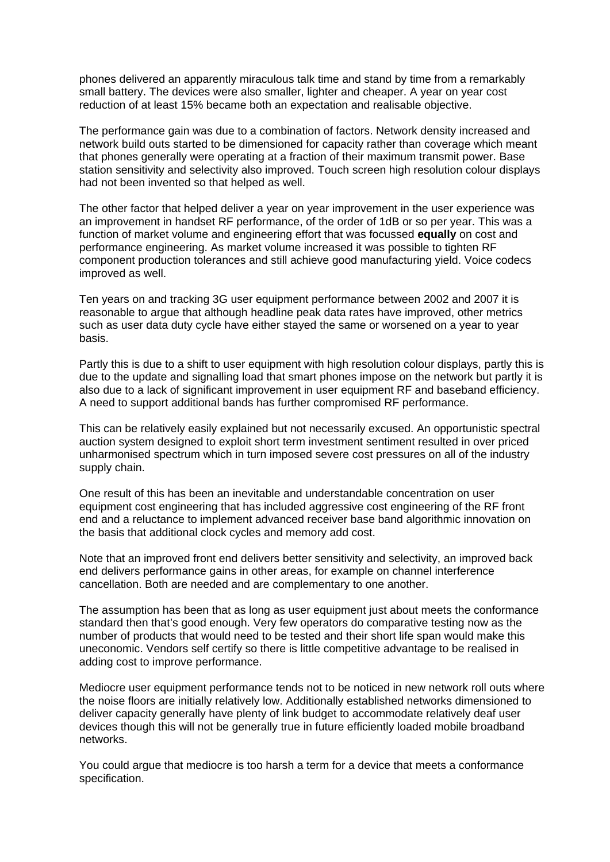phones delivered an apparently miraculous talk time and stand by time from a remarkably small battery. The devices were also smaller, lighter and cheaper. A year on year cost reduction of at least 15% became both an expectation and realisable objective.

The performance gain was due to a combination of factors. Network density increased and network build outs started to be dimensioned for capacity rather than coverage which meant that phones generally were operating at a fraction of their maximum transmit power. Base station sensitivity and selectivity also improved. Touch screen high resolution colour displays had not been invented so that helped as well.

The other factor that helped deliver a year on year improvement in the user experience was an improvement in handset RF performance, of the order of 1dB or so per year. This was a function of market volume and engineering effort that was focussed **equally** on cost and performance engineering. As market volume increased it was possible to tighten RF component production tolerances and still achieve good manufacturing yield. Voice codecs improved as well.

Ten years on and tracking 3G user equipment performance between 2002 and 2007 it is reasonable to argue that although headline peak data rates have improved, other metrics such as user data duty cycle have either stayed the same or worsened on a year to year basis.

Partly this is due to a shift to user equipment with high resolution colour displays, partly this is due to the update and signalling load that smart phones impose on the network but partly it is also due to a lack of significant improvement in user equipment RF and baseband efficiency. A need to support additional bands has further compromised RF performance.

This can be relatively easily explained but not necessarily excused. An opportunistic spectral auction system designed to exploit short term investment sentiment resulted in over priced unharmonised spectrum which in turn imposed severe cost pressures on all of the industry supply chain.

One result of this has been an inevitable and understandable concentration on user equipment cost engineering that has included aggressive cost engineering of the RF front end and a reluctance to implement advanced receiver base band algorithmic innovation on the basis that additional clock cycles and memory add cost.

Note that an improved front end delivers better sensitivity and selectivity, an improved back end delivers performance gains in other areas, for example on channel interference cancellation. Both are needed and are complementary to one another.

The assumption has been that as long as user equipment just about meets the conformance standard then that's good enough. Very few operators do comparative testing now as the number of products that would need to be tested and their short life span would make this uneconomic. Vendors self certify so there is little competitive advantage to be realised in adding cost to improve performance.

Mediocre user equipment performance tends not to be noticed in new network roll outs where the noise floors are initially relatively low. Additionally established networks dimensioned to deliver capacity generally have plenty of link budget to accommodate relatively deaf user devices though this will not be generally true in future efficiently loaded mobile broadband networks.

You could argue that mediocre is too harsh a term for a device that meets a conformance specification.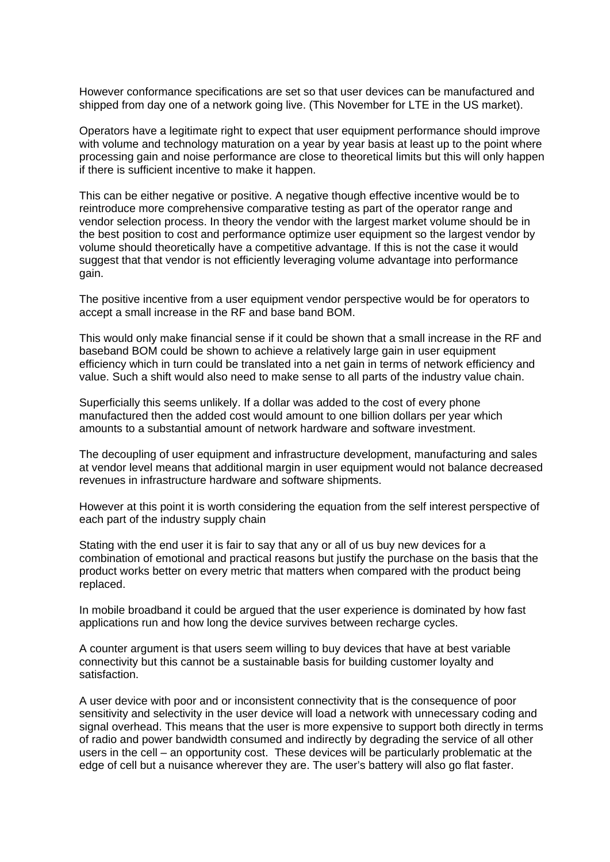However conformance specifications are set so that user devices can be manufactured and shipped from day one of a network going live. (This November for LTE in the US market).

Operators have a legitimate right to expect that user equipment performance should improve with volume and technology maturation on a year by year basis at least up to the point where processing gain and noise performance are close to theoretical limits but this will only happen if there is sufficient incentive to make it happen.

This can be either negative or positive. A negative though effective incentive would be to reintroduce more comprehensive comparative testing as part of the operator range and vendor selection process. In theory the vendor with the largest market volume should be in the best position to cost and performance optimize user equipment so the largest vendor by volume should theoretically have a competitive advantage. If this is not the case it would suggest that that vendor is not efficiently leveraging volume advantage into performance gain.

The positive incentive from a user equipment vendor perspective would be for operators to accept a small increase in the RF and base band BOM.

This would only make financial sense if it could be shown that a small increase in the RF and baseband BOM could be shown to achieve a relatively large gain in user equipment efficiency which in turn could be translated into a net gain in terms of network efficiency and value. Such a shift would also need to make sense to all parts of the industry value chain.

Superficially this seems unlikely. If a dollar was added to the cost of every phone manufactured then the added cost would amount to one billion dollars per year which amounts to a substantial amount of network hardware and software investment.

The decoupling of user equipment and infrastructure development, manufacturing and sales at vendor level means that additional margin in user equipment would not balance decreased revenues in infrastructure hardware and software shipments.

However at this point it is worth considering the equation from the self interest perspective of each part of the industry supply chain

Stating with the end user it is fair to say that any or all of us buy new devices for a combination of emotional and practical reasons but justify the purchase on the basis that the product works better on every metric that matters when compared with the product being replaced.

In mobile broadband it could be argued that the user experience is dominated by how fast applications run and how long the device survives between recharge cycles.

A counter argument is that users seem willing to buy devices that have at best variable connectivity but this cannot be a sustainable basis for building customer loyalty and satisfaction.

A user device with poor and or inconsistent connectivity that is the consequence of poor sensitivity and selectivity in the user device will load a network with unnecessary coding and signal overhead. This means that the user is more expensive to support both directly in terms of radio and power bandwidth consumed and indirectly by degrading the service of all other users in the cell – an opportunity cost. These devices will be particularly problematic at the edge of cell but a nuisance wherever they are. The user's battery will also go flat faster.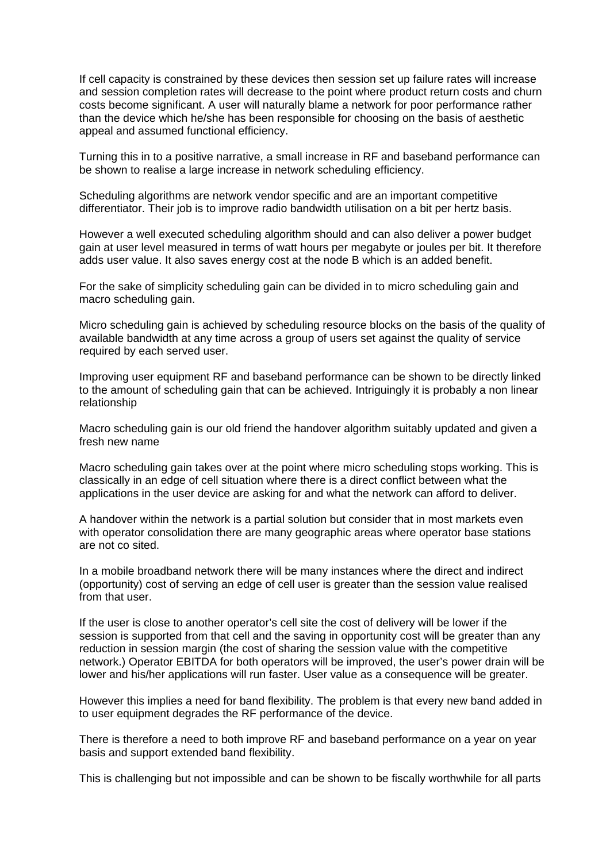If cell capacity is constrained by these devices then session set up failure rates will increase and session completion rates will decrease to the point where product return costs and churn costs become significant. A user will naturally blame a network for poor performance rather than the device which he/she has been responsible for choosing on the basis of aesthetic appeal and assumed functional efficiency.

Turning this in to a positive narrative, a small increase in RF and baseband performance can be shown to realise a large increase in network scheduling efficiency.

Scheduling algorithms are network vendor specific and are an important competitive differentiator. Their job is to improve radio bandwidth utilisation on a bit per hertz basis.

However a well executed scheduling algorithm should and can also deliver a power budget gain at user level measured in terms of watt hours per megabyte or joules per bit. It therefore adds user value. It also saves energy cost at the node B which is an added benefit.

For the sake of simplicity scheduling gain can be divided in to micro scheduling gain and macro scheduling gain.

Micro scheduling gain is achieved by scheduling resource blocks on the basis of the quality of available bandwidth at any time across a group of users set against the quality of service required by each served user.

Improving user equipment RF and baseband performance can be shown to be directly linked to the amount of scheduling gain that can be achieved. Intriguingly it is probably a non linear relationship

Macro scheduling gain is our old friend the handover algorithm suitably updated and given a fresh new name

Macro scheduling gain takes over at the point where micro scheduling stops working. This is classically in an edge of cell situation where there is a direct conflict between what the applications in the user device are asking for and what the network can afford to deliver.

A handover within the network is a partial solution but consider that in most markets even with operator consolidation there are many geographic areas where operator base stations are not co sited.

In a mobile broadband network there will be many instances where the direct and indirect (opportunity) cost of serving an edge of cell user is greater than the session value realised from that user.

If the user is close to another operator's cell site the cost of delivery will be lower if the session is supported from that cell and the saving in opportunity cost will be greater than any reduction in session margin (the cost of sharing the session value with the competitive network.) Operator EBITDA for both operators will be improved, the user's power drain will be lower and his/her applications will run faster. User value as a consequence will be greater.

However this implies a need for band flexibility. The problem is that every new band added in to user equipment degrades the RF performance of the device.

There is therefore a need to both improve RF and baseband performance on a year on year basis and support extended band flexibility.

This is challenging but not impossible and can be shown to be fiscally worthwhile for all parts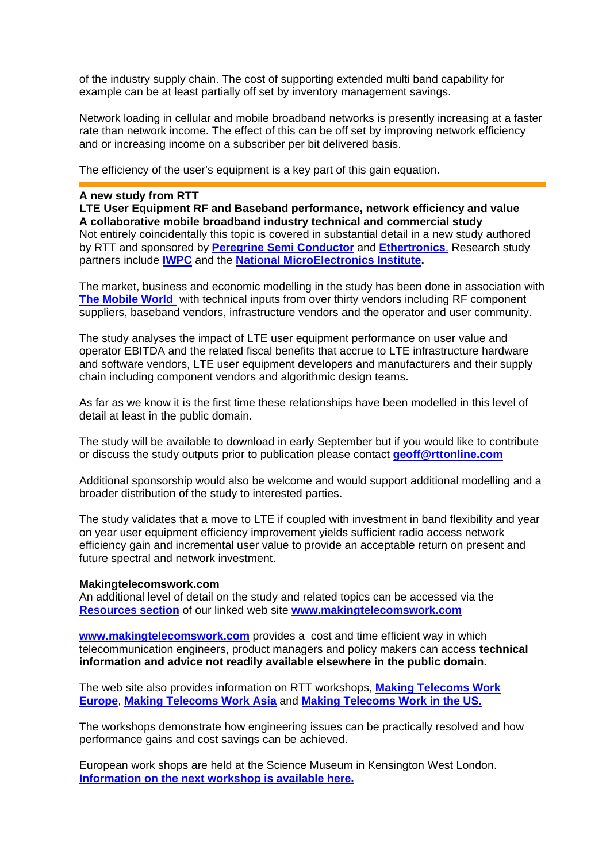of the industry supply chain. The cost of supporting extended multi band capability for example can be at least partially off set by inventory management savings.

Network loading in cellular and mobile broadband networks is presently increasing at a faster rate than network income. The effect of this can be off set by improving network efficiency and or increasing income on a subscriber per bit delivered basis.

The efficiency of the user's equipment is a key part of this gain equation.

## **A new study from RTT**

**LTE User Equipment RF and Baseband performance, network efficiency and value A collaborative mobile broadband industry technical and commercial study**  Not entirely coincidentally this topic is covered in substantial detail in a new study authored by RTT and sponsored by **[Peregrine Semi Conductor](http://www.peregrine-semi.com/)** and **[Ethertronics](http://www.ethertronics.com/)**. Research study partners include **[IWPC](http://www.iwpc.org/)** and the **[National MicroElectronics Institute](http://www.nmi.org.uk/).**

The market, business and economic modelling in the study has been done in association with **[The Mobile World](http://www.themobileworld.com/)** with technical inputs from over thirty vendors including RF component suppliers, baseband vendors, infrastructure vendors and the operator and user community.

The study analyses the impact of LTE user equipment performance on user value and operator EBITDA and the related fiscal benefits that accrue to LTE infrastructure hardware and software vendors, LTE user equipment developers and manufacturers and their supply chain including component vendors and algorithmic design teams.

As far as we know it is the first time these relationships have been modelled in this level of detail at least in the public domain.

The study will be available to download in early September but if you would like to contribute or discuss the study outputs prior to publication please contact **[geoff@rttonline.com](mailto:geoff@rttonline.com)**

Additional sponsorship would also be welcome and would support additional modelling and a broader distribution of the study to interested parties.

The study validates that a move to LTE if coupled with investment in band flexibility and year on year user equipment efficiency improvement yields sufficient radio access network efficiency gain and incremental user value to provide an acceptable return on present and future spectral and network investment.

### **Makingtelecomswork.com**

An additional level of detail on the study and related topics can be accessed via the **[Resources section](http://www.makingtelecomswork.com/resources.html)** of our linked web site **[www.makingtelecomswork.com](http://www.makingtelecomswork.com/)**

**[www.makingtelecomswork.com](http://www.makingtelecomswork.com/)** provides a cost and time efficient way in which telecommunication engineers, product managers and policy makers can access **technical information and advice not readily available elsewhere in the public domain.** 

The web site also provides information on RTT workshops, **[Making Telecoms Work](http://www.makingtelecomswork.com/workshop_europe.html)  [Europe](http://www.makingtelecomswork.com/workshop_europe.html)**, **[Making Telecoms Work Asia](http://www.makingtelecomswork.com/workshop_asia.html)** and **[Making Telecoms Work in the US.](http://www.makingtelecomswork.com/workshop_usa.html)**

The workshops demonstrate how engineering issues can be practically resolved and how performance gains and cost savings can be achieved.

European work shops are held at the Science Museum in Kensington West London. **[Information on the next workshop is available here.](http://www.rttonline.com/documents/uhfbroadbanddesign.pdf)**